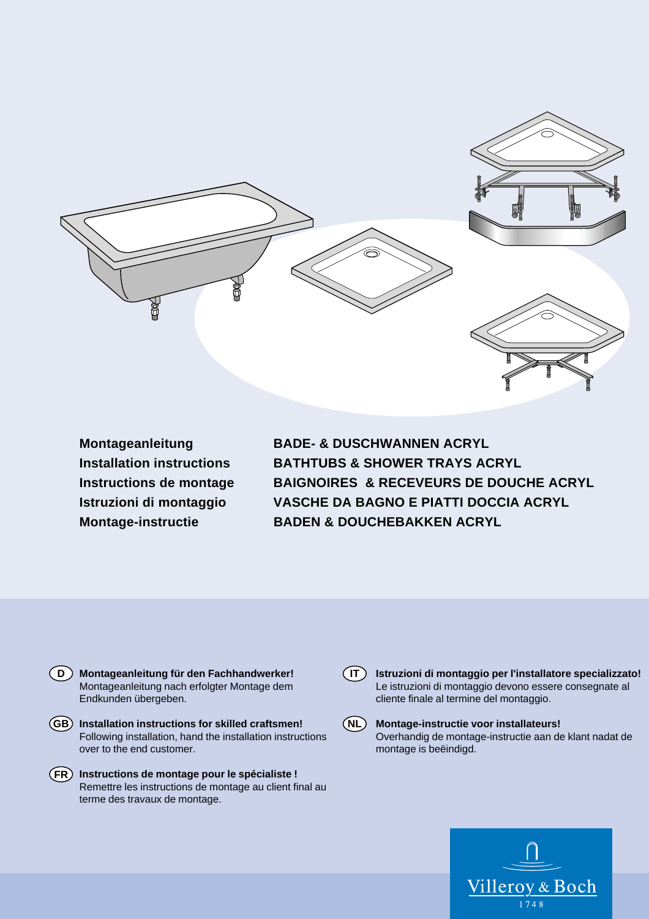

**Montageanleitung BADE- & DUSCHWANNEN ACRYL Installation instructions BATHTUBS & SHOWER TRAYS ACRYL Instructions de montage BAIGNOIRES & RECEVEURS DE DOUCHE ACRYL Istruzioni di montaggio VASCHE DA BAGNO E PIATTI DOCCIA ACRYL Montage-instructie BADEN & DOUCHEBAKKEN ACRYL**



- **Installation instructions for skilled craftsmen! GB** Following installation, hand the installation instructions over to the end customer.
- **Instructions de montage pour le spécialiste ! FR** Remettre les instructions de montage au client final au terme des travaux de montage.



**NL**

 $(T)$ 

**Istruzioni di montaggio per l'installatore specializzato!** Le istruzioni di montaggio devono essere consegnate al cliente finale al termine del montaggio.

**Montage-instructie voor installateurs!**  Overhandig de montage-instructie aan de klant nadat de montage is beëindigd.

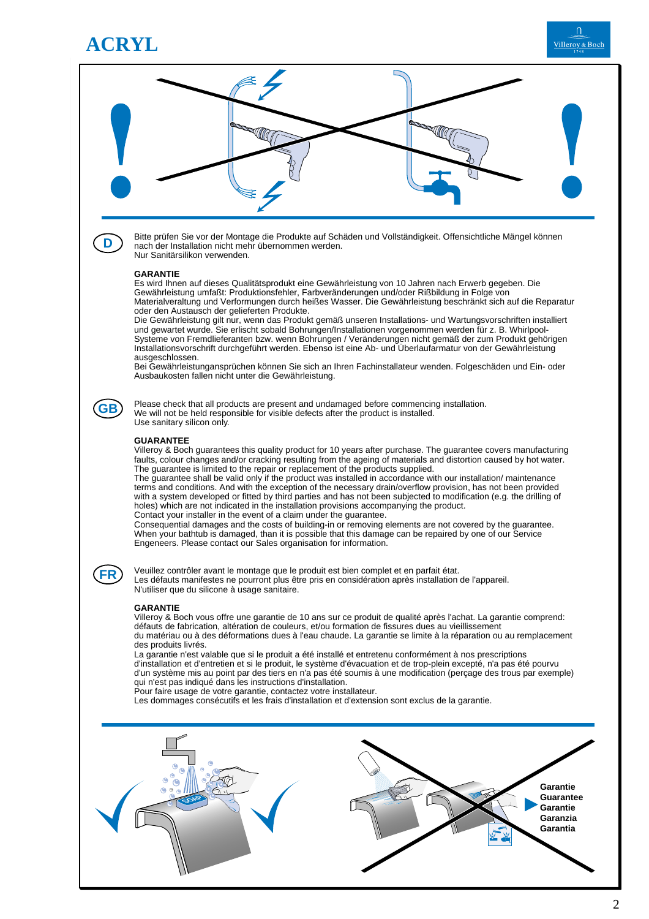

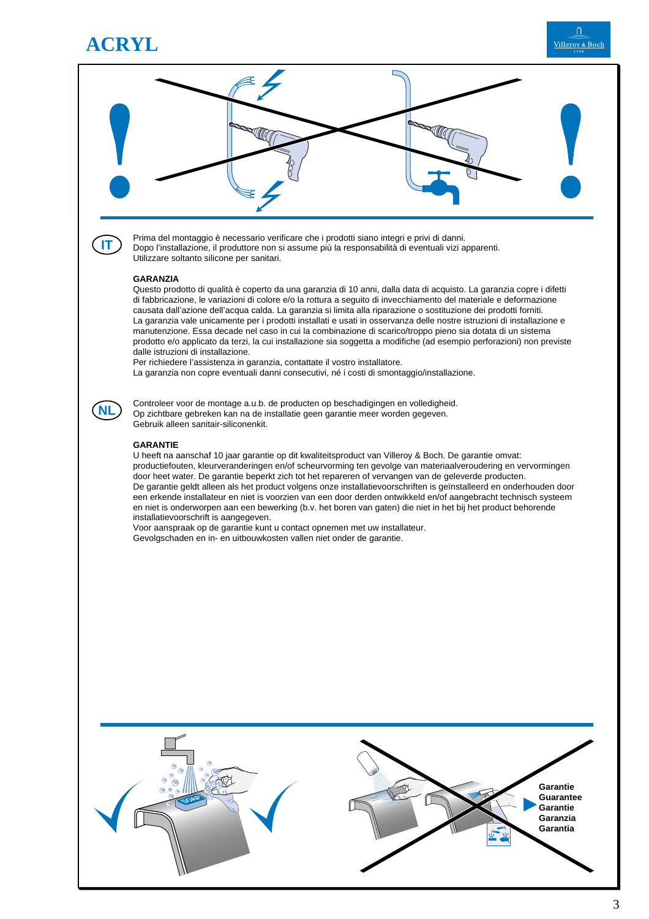

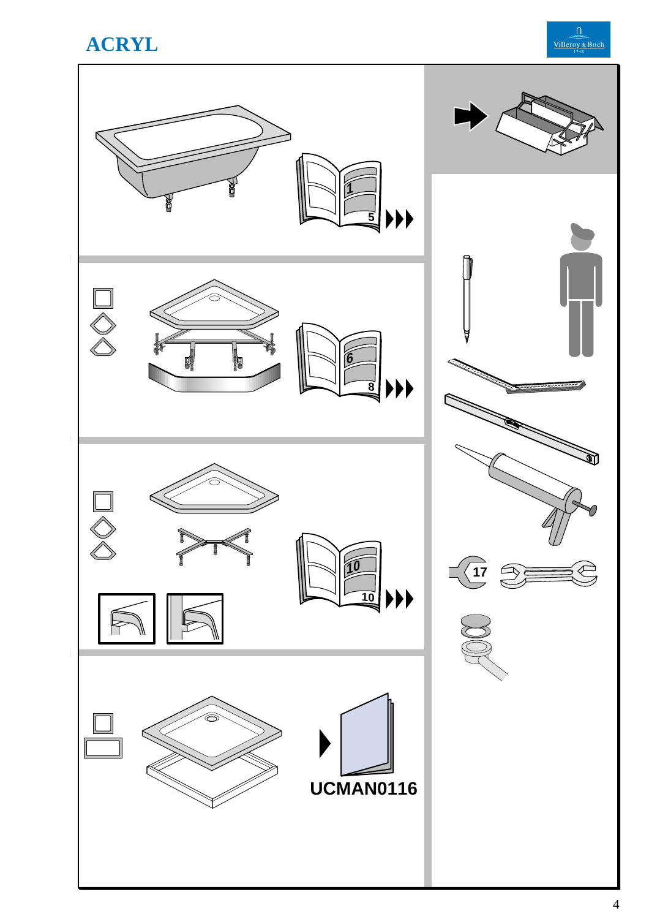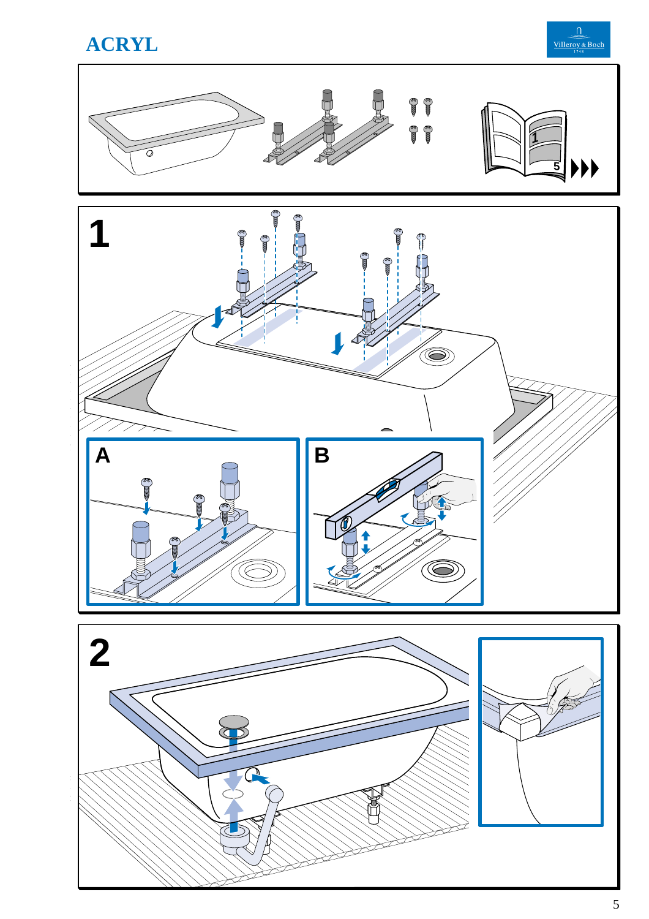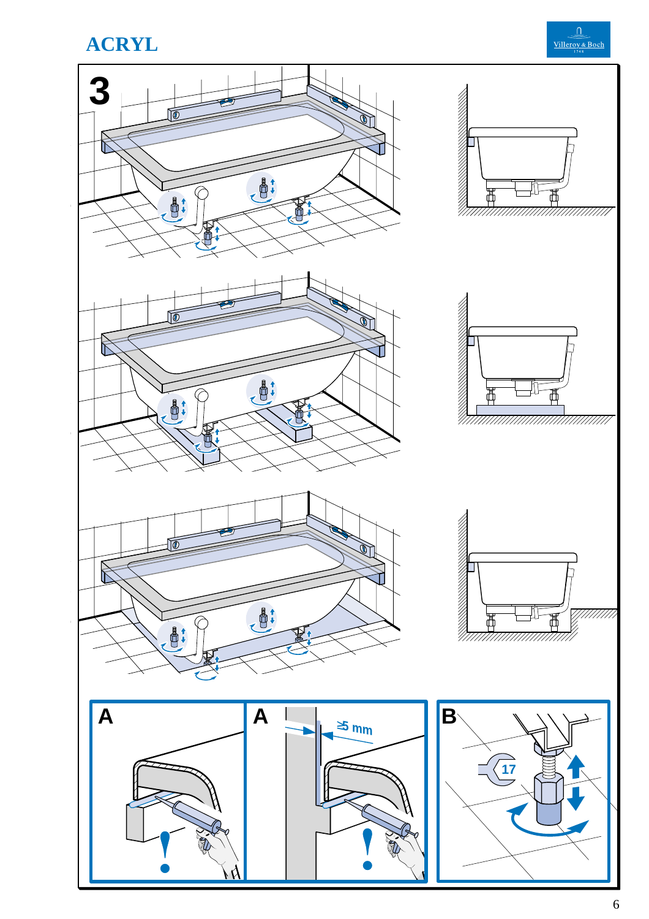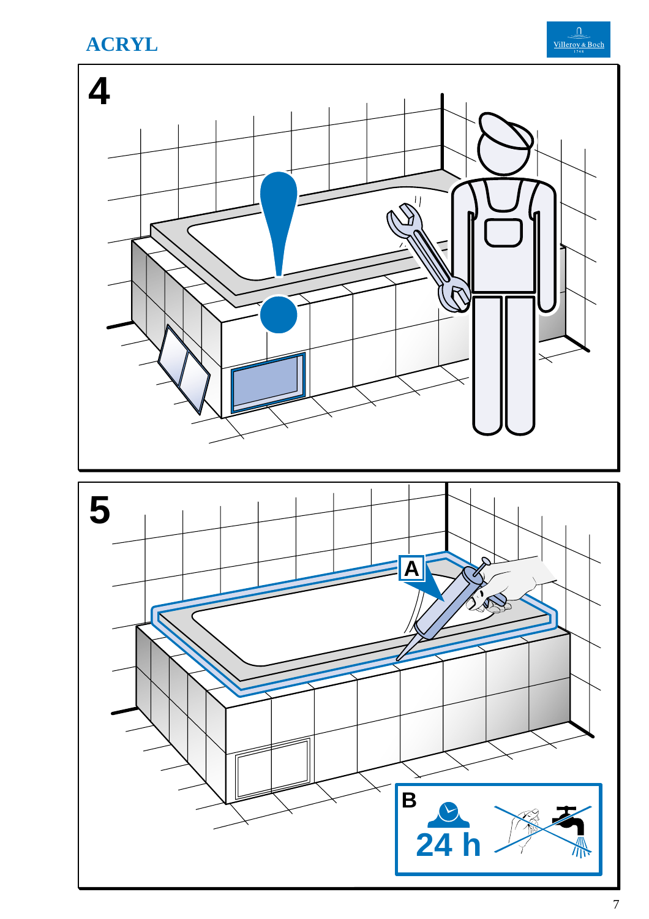





 $\overline{\mathbf{B}}$ 

24

ΛÑ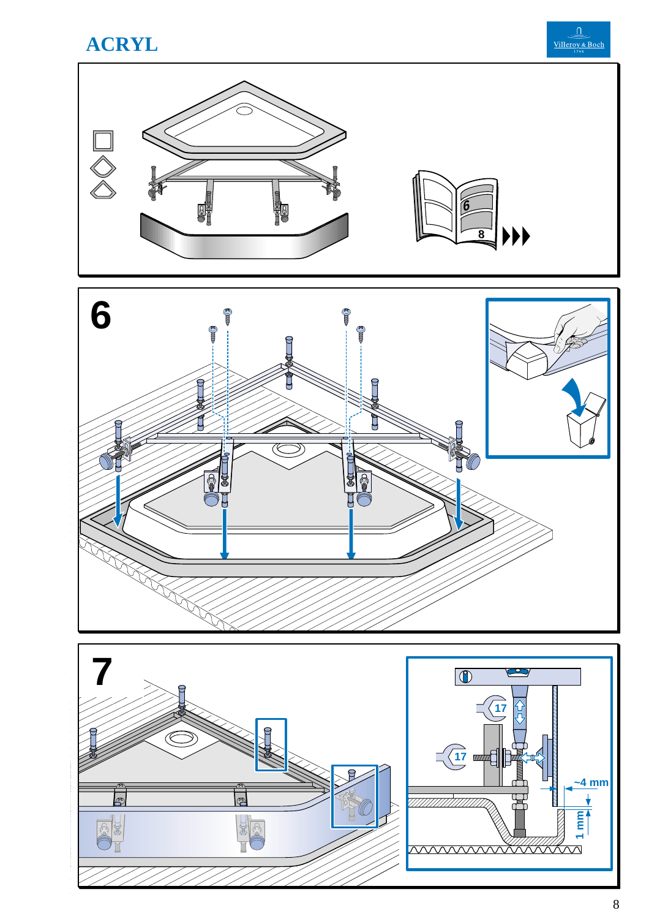



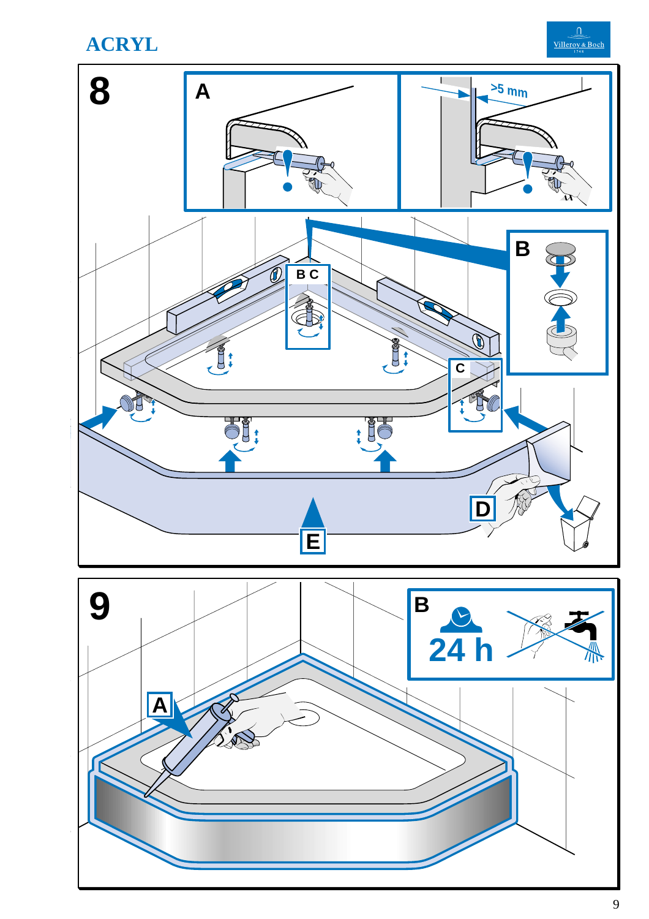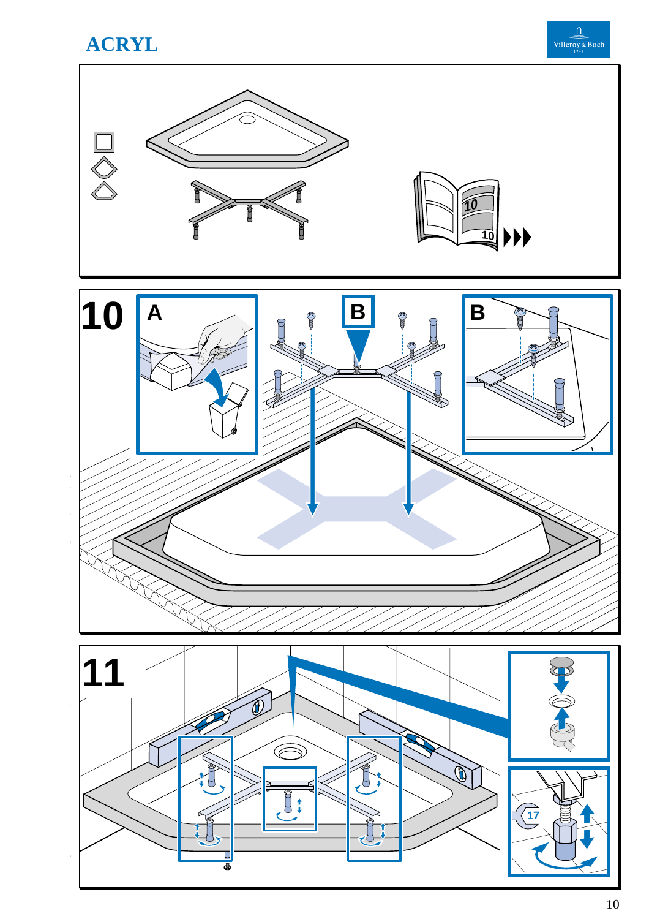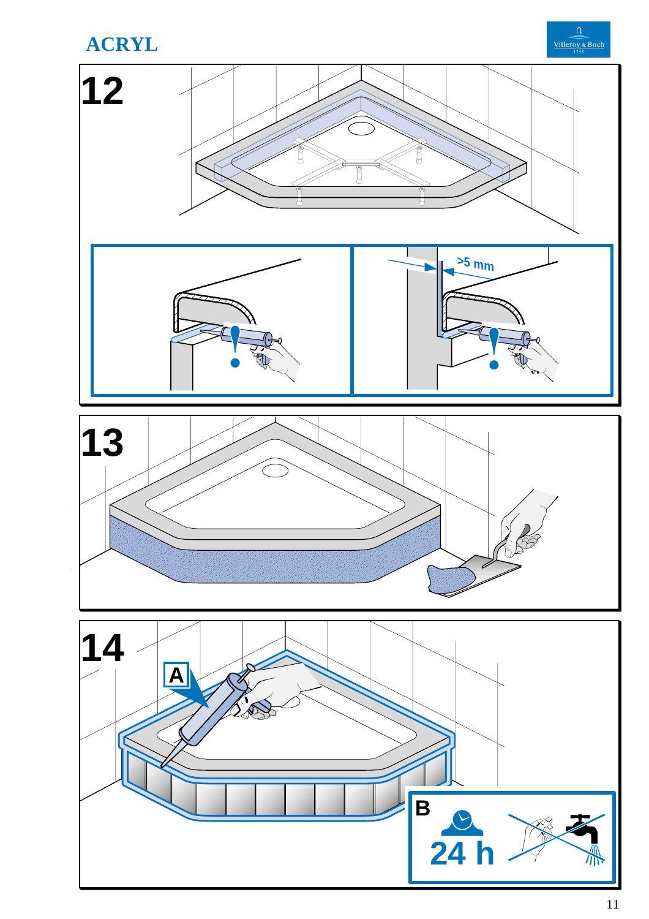